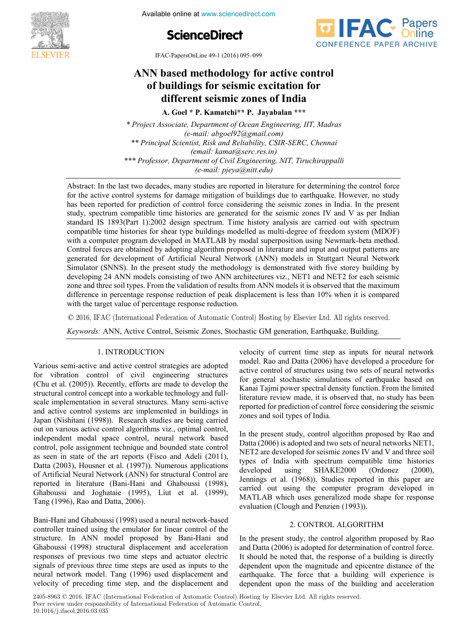

**4th International Conference on Available online at www.sciencedirect.com** 





**IFAC-PapersOnLine 49-1 (2016) 095-099** 

# ANN based methodology for active control of buildings for seismic excitation for **different seismic zones of India A. Goel \* P. Kamatchi\*\* P. Jayabalan \*\*\***

**A. Goel \* P. Kamatchi\*\* P. Jayabalan \*\*\* A. Goel \* P. Kamatchi\*\* P. Jayabalan \*\*\*** 

Froject Associate, Department of Ocean Engineering, 111, Maaras<br>(e-mail: abgoel92@gmail.com) e-mail. abgoets2(agmail.com)<br>\*\* Principal Scientist, Risk and Reliability, CSIR-SERC, Chennai *Frincipul Scientist*, Kisk and Retidbutty, CSIN-SENC, Chennal<br>(email: kamat@serc.res.in) email. Ramalogserc.res.in)<br>\*\*\* Professor, Department of Civil Engineering, NIT, Tiruchirappalli *rrojessor, Department of Civit Engineering, NIT, Tiruchiruppuni*<br>(e-mail: pjeya@nitt.edu) *(e-mail: pjeya@nitt.edu) \* Project Associate, Department of Ocean Engineering, IIT, Madras \* Project Associate, Department of Ocean Engineering, IIT, Madras* **A. Goel \* P. Kamatchi\*\* P. Jayabalan \*\*\*** *\*\*\* Professor, Department of Civil Engineering, NIT, Tiruchirappalli*

*(e-mail: pjeya@nitt.edu)*

has been reported for prediction of control force considering the seismic zones in India. In the present study, spectrum compatible time histories are generated for the seismic zones IV and V as per Indian study, spectrum compatible time histories are generated for the seismic zones IV and V as per Indian standard IS 1893(Part 1):2002 design spectrum. Time history analysis are carried out with spectrum compatible time histories for shear type buildings modelled as multi-degree of freedom system (MDOF)<br>with a computer program developed in MATI AR by modal superposition using Newmark-beta method edificult the instants for shear type buildings inducted as final-degree of freedom system (MDOP) with a computer program developed in MATLAB by modal superposition using Newmark-beta method. Control forces are obtained by adopting algorithm proposed in literature and input and output patterns are<br>control forces are obtained by adopting algorithm proposed in literature and input and output patterns are generated for development of Artificial Neural Network (ANN) models in Stuttgart Neural Network  $\mathcal{C}$  forces are obtained by a good in literature and input and input and input and  $\mathcal{C}$  and  $\mathcal{C}$  are only and  $\mathcal{C}$  and  $\mathcal{C}$  and  $\mathcal{C}$  are only and  $\mathcal{C}$  are only and  $\mathcal{C}$  are only as  $\mathcal{C}$ generated for development of  $\mathcal{L}_{\text{N}}$  and  $\mathcal{L}_{\text{N}}$  are incurred to  $\mathcal{L}_{\text{N}}$  and  $\mathcal{L}_{\text{N}}$  and  $\mathcal{L}_{\text{N}}$  are  $\mathcal{L}_{\text{N}}$  and  $\mathcal{L}_{\text{N}}$  and  $\mathcal{L}_{\text{N}}$  are  $\mathcal{L}_{\text{N}}$  and  $\mathcal{L}_{\text{N}}$  are  $\frac{1}{2}$ Simulator (SNNS). In the present study the methodology is demonstrated with five study the methodology is demonstrated with  $\frac{1}{2}$ zone and three son types. From the vandation of results from ANN models it is observed that it is maximum net and three solid types. From the value of results for the validation of results for the maximum and the maximum  $\frac{1}{N}$  and  $\frac{1}{N}$  when it is compared while the target value of percentage response reduction. *(e-mail: pjeya@nitt.edu)* Simulator (SNNS). In the present study the methodology is demonstrated with five storey building by<br>developing 24 ANN models consisting of two ANN architectures viz. NET1 and NET2 for each seismic developing 24 ANN models consisting of two ANN architectures viz., NET1 and NET2 for each seismic zone and three soil types. From the validation of results from ANN models it is observed that the maximum<br>difference in percentage response reduction of peak displacement is less than 10% when it is compared difference in percentage response reduction of peak displacement is less than 10% when it is compared with the target value of percentage response reduction.  $\ddot{o}$  in percentage reduction of peak displacement is less than 10% when it is compared in the is compared in the is compared in the is compared in the is compared in the is compared in the is compared in the is compare Abstract: In the last two decades, many studies are reported in literature for determining the control force for the active control systems for damage mitigation of buildings due to earthquake. However, no study for the active control systems for damage mitigation of buildings due to earthquake. However, no study **Society Control and Conservation Control and Control and Control and Control and Control and Control and Control and Control and Control and Control and Control and Control and Control and Control and Control and Control** 

© 2016, IFAC (International Federation of Automatic Control) Hosting by Elsevier Ltd. All rights reserved.  $\odot$  2016, IFAC (International Federation of Automatic Control) Hosting by Elsevier Ltd. All rights reserved.  $\approx$  2010,  $\mu$  /reduction reduction of transmission  $\infty$ 

Keywords: ANN, Active Control, Seismic Zones, Stochastic GM generation, Earthquake, Building.

## 1. INTRODUCTION 1. International control of the control of the control of the control of the control of the control of the con

Various semi-active and active control strategies are adopted for vibration control of civil engineering structures for vibration control of civil engineering structures<br>(Chu et al. (2005)). Recently, efforts are made to develop the structural control concept into a workable technology and fullscale implementation in several structures. Many semi-active and active control systems are implemented in buildings in and active control systems are implemented in buildings in<br>Japan (Nishitani (1998)). Research studies are being carried out on various active control algorithms viz., optimal control, out on various active control algorithms viz., optimal control,<br>independent modal space control, neural network based control, pole assignment technique and bounded state control control, pole assignment technique and bounded state control<br>as seen in state of the art reports (Fisco and Adeli (2011), Datta (2003), Housner et al. (1997)). Numerous applications Datta (2003), Housner et al. (1997)). Numerous applications<br>of Artificial Neural Network (ANN) for structural Control are reported in literature (Bani-Hani and Ghaboussi (1998), reported in literature (Bani-Hani and Ghaboussi (1998),<br>Ghaboussi and Joghataie (1995), Liut et al. (1999), Tang (1996), Rao and Datta, 2006).  $B_{\text{max}}$  (1998), the direct  $B_{\text{max}}$  and  $B_{\text{max}}$ 1. INTRODUCTION<br>Various semi-active and active control strategies are adopted 1. INTRODUCTION<br>
Various semi-active can device control stategies are adopted and word is and Datta (2006) have developed a procedure for<br>
for vibration control strategies are adopted and the correlocity of the districters  $\mathcal{O}(\frac{1}{2}, \frac{1}{2})$ 

Bani-Hani and Ghaboussi (1998) used a neural network-based controller trained using the emulator for linear control of the controller trained using the emulator for linear control of the<br>structure. In ANN model proposed by Bani-Hani and Ghaboussi (1998) structural displacement and acceleration Ghaboussi (1998) structural displacement and acceleration<br>responses of previous two time steps and actuator electric signals of previous three time steps are used as inputs to the signals of previous three time steps are used as inputs to the<br>neural network model. Tang (1996) used displacement and velocity of preceding time step, and the displacement and Tang (1996), Rao and Datta, 2006).<br>Bani-Hani and Ghaboussi (1998) used a neural network-based velocity of current time step as inputs for neural network velocity of current time step as inputs for neural network<br>model. Rao and Datta (2006) have developed a procedure for active control of structures using two sets of neural networks active control of structures using two sets of neural networks<br>for general stochastic simulations of earthquake based on Kanai Tajmi power spectral density function. From the limited Kanai Tajmi power spectral density function. From the limited<br>literature review made, it is observed that, no study has been reported for prediction of control force considering the seismic zones and soil types of India.  $\sum_{i=1}^{n}$ zones and soil types of India.

verlocity of current time step as inputs for neural network  $\sim$ 

In the present study, control algorithm proposed by Rao and In the present study, control algorithm proposed by Rao and<br>Datta (2006) is adopted and two sets of neural networks NET1, NET2 are developed for seismic zones IV and V and three soil types of India with spectrum compatible time histories types of India with spectrum compatible time histories developed using SHAKE2000 (Ordonez (2000), developed using SHAKE2000 (Ordonez (2000), Jennings et al. (1968)). Studies reported in this paper are carried out using the computer program developed in carried out using the computer program developed in carried out using the computer program developed in<br>MATLAB which uses generalized mode shape for response evaluation (Clough and Penzien (1993)). developed using SHAKE2000 (Ordonez (2000), developed using SHAKE2000 (Ordonez (2000), Jennings et al. (1968)). Studies reported in this paper are NET2 are developed for seismic zones IV and V and three soil<br>types of India with spectrum compatible time histories<br>developed using  $SHAKE2000$  (Ordonez (2000) Jennings et al. (1968)). Studies reported in this paper are  $\sum_{i=1}^{n}$ 

## 2. CONTROL ALGORITHM 2. CONTROL ALGORITHM In the present study, the control algorithm proposed by Rao

In the present study, the control algorithm proposed by Rao and Datta (2006) is adopted for determination of control force. It should be noted that, the response of a building is directly It should be noted that, the response of a building is directly dependent upon the magnitude and epicentre distance of the earthquake. The force that a building will experience is dependent upon the mass of the building and acceleration In the present study, the control algorithm proposed by Rao 2. CONTROL ALGORITHM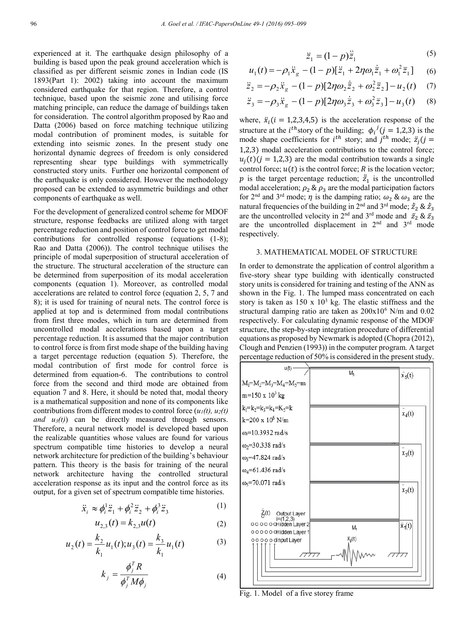experienced at it. The earthquake design philosophy of a building is based upon the peak ground acceleration which is classified as per different seismic zones in Indian code (IS 1893(Part 1): 2002) taking into account the maximum considered earthquake for that region. Therefore, a control technique, based upon the seismic zone and utilising force matching principle, can reduce the damage of buildings taken for consideration. The control algorithm proposed by Rao and Datta (2006) based on force matching technique utilizing modal contribution of prominent modes, is suitable for extending into seismic zones. In the present study one horizontal dynamic degrees of freedom is only considered representing shear type buildings with symmetrically constructed story units. Further one horizontal component of the earthquake is only considered. However the methodology proposed can be extended to asymmetric buildings and other components of earthquake as well.

For the development of generalized control scheme for MDOF structure, response feedbacks are utilized along with target percentage reduction and position of control force to get modal contributions for controlled response (equations (1-8); Rao and Datta (2006)). The control technique utilises the principle of modal superposition of structural acceleration of the structure. The structural acceleration of the structure can be determined from superposition of its modal acceleration components (equation 1). Moreover, as controlled modal accelerations are related to control force (equation 2, 5, 7 and 8); it is used for training of neural nets. The control force is applied at top and is determined from modal contributions from first three modes, which in turn are determined from uncontrolled modal accelerations based upon a target percentage reduction. It is assumed that the major contribution to control force is from first mode shape of the building having a target percentage reduction (equation 5). Therefore, the modal contribution of first mode for control force is determined from equation-6. The contributions to control force from the second and third mode are obtained from equation 7 and 8. Here, it should be noted that, modal theory is a mathematical supposition and none of its components like contributions from different modes to control force  $(u_1(t), u_2(t))$ *and u3(t)*) can be directly measured through sensors. Therefore, a neural network model is developed based upon the realizable quantities whose values are found for various spectrum compatible time histories to develop a neural network architecture for prediction of the building's behaviour pattern. This theory is the basis for training of the neural network architecture having the controlled structural acceleration response as its input and the control force as its output, for a given set of spectrum compatible time histories.

$$
\ddot{x}_i \approx \phi_i^1 \ddot{z}_1 + \phi_i^2 \ddot{z}_2 + \phi_i^3 \ddot{z}_3 \tag{1}
$$

$$
u_{2,3}(t) = k_{2,3}u(t) \tag{2}
$$

$$
u_2(t) = \frac{k_2}{k_1} u_1(t); u_3(t) = \frac{k_3}{k_1} u_1(t)
$$
 (3)

$$
k_j = \frac{\phi_j^T R}{\phi_j^T M \phi_j} \tag{4}
$$

$$
\ddot{z}_1 = (1 - p)\ddot{\bar{z}}_1 \tag{5}
$$

$$
u_1(t) = -\rho_1 \ddot{x}_g - (1 - p)[\ddot{z}_1 + 2\eta \omega_1 \dot{\bar{z}}_1 + \omega_1^2 \bar{z}_1] \tag{6}
$$

$$
\ddot{z}_2 = -\rho_2 \ddot{x}_g - (1 - p)[2\eta \omega_2 \dot{\bar{z}}_2 + \omega_2^2 \bar{z}_2] - u_2(t) \quad (7)
$$

$$
\ddot{z}_3 = -\rho_3 \ddot{x}_g - (1-p)[2\eta \omega_3 \dot{\bar{z}}_3 + \omega_3^2 \bar{z}_3] - u_3(t) \quad (8)
$$

where,  $\ddot{x}_i$  ( $i = 1,2,3,4,5$ ) is the acceleration response of the structure at the *i*<sup>th</sup> story of the building;  $\phi_i^j$  (*j* = 1,2,3) is the mode shape coefficients for  $i^{th}$  story; and  $j^{th}$  mode;  $\ddot{z}_j$  ( $j =$ 1,2,3) modal acceleration contributions to the control force;  $u_i(t)$  ( $i = 1,2,3$ ) are the modal contribution towards a single control force;  $u(t)$  is the control force; R is the location vector; p is the target percentage reduction;  $\ddot{z}_1$  is the uncontrolled ֖֖֖֪ׅ֪ׅ֚֚֚֚֚֚֚֚֚֚֚֚֚֚֚֬֡֡֡֡֡֡֡֡֡֡֡֡֝ modal acceleration;  $\rho_2 \& \rho_3$  are the modal participation factors for 2<sup>nd</sup> and 3<sup>rd</sup> mode;  $\eta$  is the damping ratio;  $\omega_2 \& \omega_3$  are the natural frequencies of the building in 2<sup>nd</sup> and 3<sup>rd</sup> mode;  $\dot{z}_2 \& \dot{z}_3$ ̅ ̅ are the uncontrolled velocity in  $2<sup>nd</sup>$  and  $3<sup>rd</sup>$  mode and  $\bar{z}_2 \& \bar{z}_3$  are the uncontrolled displacement in  $2<sup>nd</sup>$  and  $3<sup>rd</sup>$  mode respectively.

## 3. MATHEMATICAL MODEL OF STRUCTURE

In order to demonstrate the application of control algorithm a five-story shear type building with identically constructed story units is considered for training and testing of the ANN as shown in the Fig. 1. The lumped mass concentrated on each story is taken as  $150 \times 10^3$  kg. The elastic stiffness and the structural damping ratio are taken as  $200x10^6$  N/m and 0.02 respectively. For calculating dynamic response of the MDOF structure, the step-by-step integration procedure of differential equations as proposed by Newmark is adopted (Chopra (2012), Clough and Penzien (1993)) in the computer program. A target percentage reduction of 50% is considered in the present study.



Fig. 1. Model of a five storey frame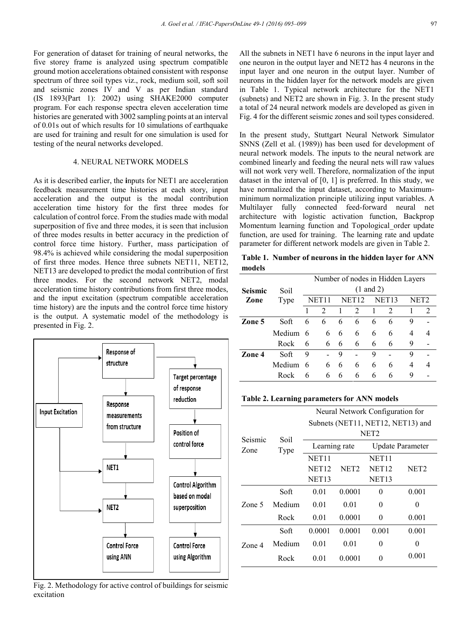For generation of dataset for training of neural networks, the five storey frame is analyzed using spectrum compatible ground motion accelerations obtained consistent with response spectrum of three soil types viz., rock, medium soil, soft soil and seismic zones IV and V as per Indian standard (IS 1893(Part 1): 2002) using SHAKE2000 computer program. For each response spectra eleven acceleration time histories are generated with 3002 sampling points at an interval of 0.01s out of which results for 10 simulations of earthquake are used for training and result for one simulation is used for testing of the neural networks developed.

#### 4. NEURAL NETWORK MODELS

As it is described earlier, the **i**nputs for NET1 are acceleration feedback measurement time histories at each story, input acceleration and the output is the modal contribution acceleration time history for the first three modes for calculation of control force. From the studies made with modal superposition of five and three modes, it is seen that inclusion of three modes results in better accuracy in the prediction of control force time history. Further, mass participation of 98.4% is achieved while considering the modal superposition of first three modes. Hence three subnets NET11, NET12, NET13 are developed to predict the modal contribution of first three modes. For the second network NET2, modal acceleration time history contributions from first three modes, and the input excitation (spectrum compatible acceleration time history) are the inputs and the control force time history is the output. A systematic model of the methodology is presented in Fig. 2.



Fig. 2. Methodology for active control of buildings for seismic excitation

All the subnets in NET1 have 6 neurons in the input layer and one neuron in the output layer and NET2 has 4 neurons in the input layer and one neuron in the output layer. Number of neurons in the hidden layer for the network models are given in Table 1. Typical network architecture for the NET1 (subnets) and NET2 are shown in Fig. 3. In the present study a total of 24 neural network models are developed as given in Fig. 4 for the different seismic zones and soil types considered.

In the present study, Stuttgart Neural Network Simulator SNNS (Zell et al. (1989)) has been used for development of neural network models. The inputs to the neural network are combined linearly and feeding the neural nets will raw values will not work very well. Therefore, normalization of the input dataset in the interval of [0, 1] is preferred. In this study, we have normalized the input dataset, according to Maximumminimum normalization principle utilizing input variables. A Multilayer fully connected feed-forward neural net architecture with logistic activation function, Backprop Momentum learning function and Topological order update function, are used for training. The learning rate and update parameter for different network models are given in Table 2.

**Table 1. Number of neurons in the hidden layer for ANN models**

|                 |          | Number of nodes in Hidden Layers |                      |                   |                             |                   |                             |      |   |
|-----------------|----------|----------------------------------|----------------------|-------------------|-----------------------------|-------------------|-----------------------------|------|---|
| Seismic<br>Soil |          |                                  | $(1 \text{ and } 2)$ |                   |                             |                   |                             |      |   |
| Zone            | Type     | NET11                            |                      | NET <sub>12</sub> |                             | NET <sub>13</sub> |                             | NET2 |   |
|                 |          |                                  | $\mathcal{L}$        | 1                 | $\mathcal{D}_{\mathcal{L}}$ |                   | $\mathcal{D}_{\mathcal{L}}$ |      | 2 |
| Zone 5          | Soft     | 6                                | 6                    | 6                 | 6                           | 6                 | 6                           | 9    |   |
|                 | Medium 6 |                                  | 6                    | 6                 | 6                           | 6                 | 6                           | 4    | 4 |
|                 | Rock     | 6                                | 6                    | 6                 | 6                           | 6                 | 6                           | 9    |   |
| Zone 4          | Soft     | 9                                |                      | 9                 |                             | 9                 |                             | 9    |   |
|                 | Medium   | 6                                | 6                    | 6                 | 6                           | 6                 | 6                           | 4    | 4 |
|                 | Rock     | 6                                | 6                    | 6                 | 6                           | 6                 | 6                           | 9    |   |

#### **Table 2. Learning parameters for ANN models**

|                 | Soil<br>Type | Neural Network Configuration for  |                  |                         |                  |  |  |
|-----------------|--------------|-----------------------------------|------------------|-------------------------|------------------|--|--|
| Seismic<br>Zone |              | Subnets (NET11, NET12, NET13) and |                  |                         |                  |  |  |
|                 |              | NET <sub>2</sub>                  |                  |                         |                  |  |  |
|                 |              | Learning rate                     |                  | <b>Update Parameter</b> |                  |  |  |
|                 |              | NET <sub>11</sub>                 |                  | <b>NET11</b>            |                  |  |  |
|                 |              | <b>NET12</b>                      | NET <sub>2</sub> | NET <sub>12</sub>       | NET <sub>2</sub> |  |  |
|                 |              | <b>NET13</b>                      |                  | NET <sub>13</sub>       |                  |  |  |
| Zone 5          | Soft         | 0.01                              | 0.0001           | 0                       | 0.001            |  |  |
|                 | Medium       | 0.01                              | 0.01             | 0                       | 0                |  |  |
|                 | Rock         | 0.01                              | 0.0001           | 0                       | 0.001            |  |  |
| Zone 4          | Soft         | 0.0001                            | 0.0001           | 0.001                   | 0.001            |  |  |
|                 | Medium       | 0.01                              | 0.01             | 0                       | 0                |  |  |
|                 | Rock         | 0.01                              | 0.0001           | 0                       | 0.001            |  |  |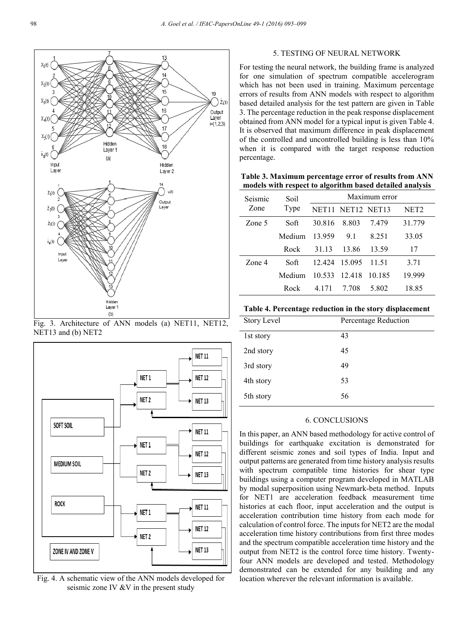

Fig. 3. Architecture of ANN models (a) NET11, NET12, NET13 and (b) NET2



Fig. 4. A schematic view of the ANN models developed for seismic zone IV &V in the present study

## 5. TESTING OF NEURAL NETWORK

For testing the neural network, the building frame is analyzed for one simulation of spectrum compatible accelerogram which has not been used in training. Maximum percentage errors of results from ANN models with respect to algorithm based detailed analysis for the test pattern are given in Table 3. The percentage reduction in the peak response displacement obtained from ANN model for a typical input is given Table 4. It is observed that maximum difference in peak displacement of the controlled and uncontrolled building is less than 10% when it is compared with the target response reduction percentage.

**Table 3. Maximum percentage error of results from ANN models with respect to algorithm based detailed analysis** 

| Seismic | Soil<br>Type | Maximum error |                      |         |        |  |
|---------|--------------|---------------|----------------------|---------|--------|--|
| Zone    |              |               | NET11 NET12 NET13    |         | NET2   |  |
| Zone 5  | Soft         | 30.816        | 8.803                | 7479    | 31.779 |  |
|         | Medium       | 13.959        | 91                   | 8 2 5 1 | 33.05  |  |
|         | Rock         | 31.13         | 13.86                | 13.59   | 17     |  |
| Zone 4  | Soft         |               | 12.424 15.095        | 11.51   | 3.71   |  |
|         | Medium.      |               | 10.533 12.418 10.185 |         | 19.999 |  |
|         | Rock         | 4.171         | 7.708                | 5.802   | 18.85  |  |

**Table 4. Percentage reduction in the story displacement**

| <b>Story Level</b> | Percentage Reduction |
|--------------------|----------------------|
| 1st story          | 43                   |
| 2nd story          | 45                   |
| 3rd story          | 49                   |
| 4th story          | 53                   |
| 5th story          | 56                   |

## 6. CONCLUSIONS

In this paper, an ANN based methodology for active control of buildings for earthquake excitation is demonstrated for different seismic zones and soil types of India. Input and output patterns are generated from time history analysis results with spectrum compatible time histories for shear type buildings using a computer program developed in MATLAB by modal superposition using Newmark-beta method. Inputs for NET1 are acceleration feedback measurement time histories at each floor, input acceleration and the output is acceleration contribution time history from each mode for calculation of control force. The inputs for NET2 are the modal acceleration time history contributions from first three modes and the spectrum compatible acceleration time history and the output from NET2 is the control force time history. Twentyfour ANN models are developed and tested. Methodology demonstrated can be extended for any building and any location wherever the relevant information is available.